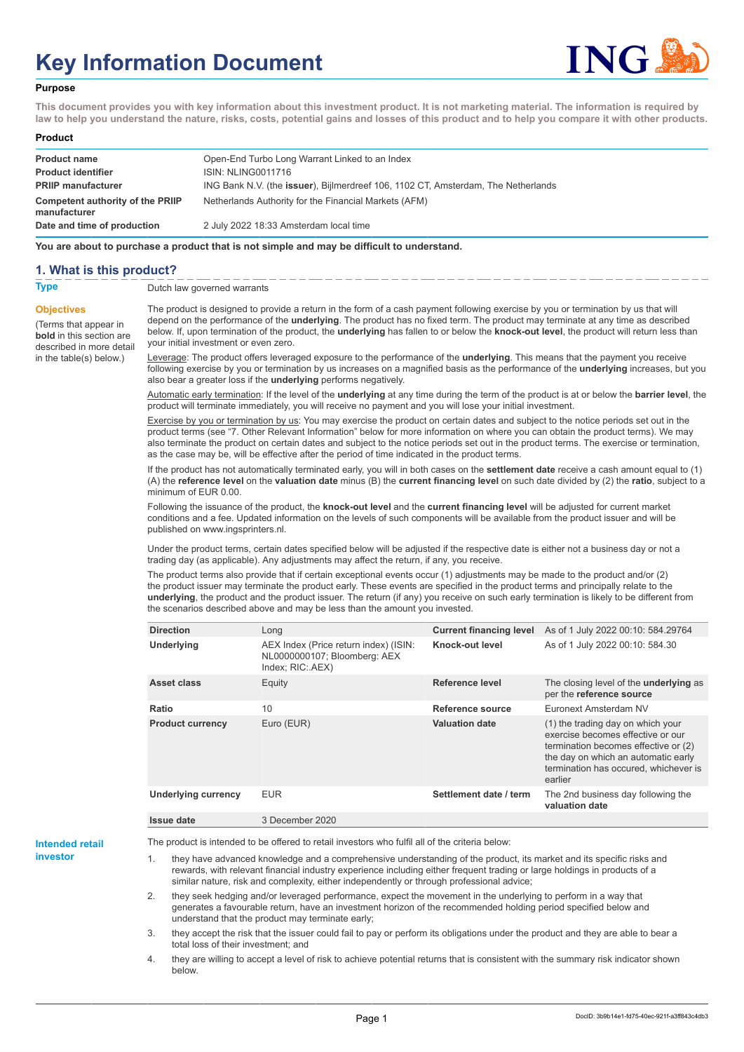# **Key Information Document**



#### **Purpose**

**This document provides you with key information about this investment product. It is not marketing material. The information is required by law to help you understand the nature, risks, costs, potential gains and losses of this product and to help you compare it with other products.**

#### **Product**

| <b>Product name</b><br><b>Product identifier</b> | Open-End Turbo Long Warrant Linked to an Index<br><b>ISIN: NLING0011716</b>               |
|--------------------------------------------------|-------------------------------------------------------------------------------------------|
| <b>PRIIP manufacturer</b>                        | ING Bank N.V. (the <b>issuer</b> ), Bijlmerdreef 106, 1102 CT, Amsterdam, The Netherlands |
| Competent authority of the PRIIP<br>manufacturer | Netherlands Authority for the Financial Markets (AFM)                                     |
| Date and time of production                      | 2 July 2022 18:33 Amsterdam local time                                                    |

**You are about to purchase a product that is not simple and may be difficult to understand.**

### **1. What is this product?**

**Objectives**

(Terms that appear in **bold** in this section are

in the table(s) below.)

**Type** Dutch law governed warrants

described in more detail The product is designed to provide a return in the form of a cash payment following exercise by you or termination by us that will depend on the performance of the **underlying**. The product has no fixed term. The product may terminate at any time as described below. If, upon termination of the product, the **underlying** has fallen to or below the **knock-out level**, the product will return less than your initial investment or even zero.

> Leverage: The product offers leveraged exposure to the performance of the **underlying**. This means that the payment you receive following exercise by you or termination by us increases on a magnified basis as the performance of the **underlying** increases, but you also bear a greater loss if the **underlying** performs negatively.

> Automatic early termination: If the level of the **underlying** at any time during the term of the product is at or below the **barrier level**, the product will terminate immediately, you will receive no payment and you will lose your initial investment.

> Exercise by you or termination by us: You may exercise the product on certain dates and subject to the notice periods set out in the product terms (see "7. Other Relevant Information" below for more information on where you can obtain the product terms). We may also terminate the product on certain dates and subject to the notice periods set out in the product terms. The exercise or termination, as the case may be, will be effective after the period of time indicated in the product terms.

> If the product has not automatically terminated early, you will in both cases on the **settlement date** receive a cash amount equal to (1) (A) the **reference level** on the **valuation date** minus (B) the **current financing level** on such date divided by (2) the **ratio**, subject to a minimum of EUR 0.00.

Following the issuance of the product, the **knock-out level** and the **current financing level** will be adjusted for current market conditions and a fee. Updated information on the levels of such components will be available from the product issuer and will be published on www.ingsprinters.nl.

Under the product terms, certain dates specified below will be adjusted if the respective date is either not a business day or not a trading day (as applicable). Any adjustments may affect the return, if any, you receive.

The product terms also provide that if certain exceptional events occur (1) adjustments may be made to the product and/or (2) the product issuer may terminate the product early. These events are specified in the product terms and principally relate to the **underlying**, the product and the product issuer. The return (if any) you receive on such early termination is likely to be different from the scenarios described above and may be less than the amount you invested.

| <b>Direction</b>           | Long                                                                                      | <b>Current financing level</b> | As of 1 July 2022 00:10: 584.29764                                                                                                                                                                        |
|----------------------------|-------------------------------------------------------------------------------------------|--------------------------------|-----------------------------------------------------------------------------------------------------------------------------------------------------------------------------------------------------------|
| <b>Underlying</b>          | AEX Index (Price return index) (ISIN:<br>NL0000000107; Bloomberg: AEX<br>Index; RIC: AEX) | Knock-out level                | As of 1 July 2022 00:10: 584.30                                                                                                                                                                           |
| Asset class                | Equity                                                                                    | Reference level                | The closing level of the <b>underlying</b> as<br>per the reference source                                                                                                                                 |
| Ratio                      | 10                                                                                        | Reference source               | Euronext Amsterdam NV                                                                                                                                                                                     |
| <b>Product currency</b>    | Euro (EUR)                                                                                | <b>Valuation date</b>          | (1) the trading day on which your<br>exercise becomes effective or our<br>termination becomes effective or (2)<br>the day on which an automatic early<br>termination has occured, whichever is<br>earlier |
| <b>Underlying currency</b> | <b>EUR</b>                                                                                | Settlement date / term         | The 2nd business day following the<br>valuation date                                                                                                                                                      |
| Issue date                 | 3 December 2020                                                                           |                                |                                                                                                                                                                                                           |

**Intended retail investor**

The product is intended to be offered to retail investors who fulfil all of the criteria below:

they have advanced knowledge and a comprehensive understanding of the product, its market and its specific risks and rewards, with relevant financial industry experience including either frequent trading or large holdings in products of a similar nature, risk and complexity, either independently or through professional advice;

2. they seek hedging and/or leveraged performance, expect the movement in the underlying to perform in a way that generates a favourable return, have an investment horizon of the recommended holding period specified below and understand that the product may terminate early;

3. they accept the risk that the issuer could fail to pay or perform its obligations under the product and they are able to bear a total loss of their investment; and

4. they are willing to accept a level of risk to achieve potential returns that is consistent with the summary risk indicator shown below.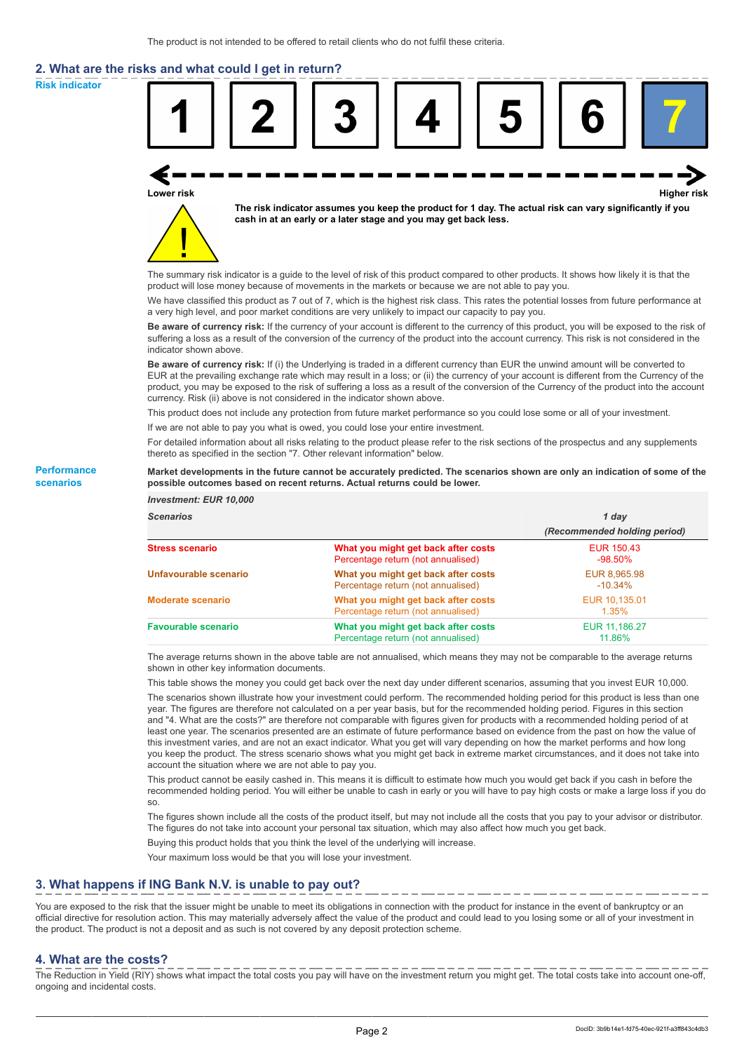# **2. What are the risks and what could I get in return?**

**Risk indicator**

**Performance scenarios**



thereto as specified in the section "7. Other relevant information" below.

#### **Market developments in the future cannot be accurately predicted. The scenarios shown are only an indication of some of the possible outcomes based on recent returns. Actual returns could be lower.**

| <b>Investment: EUR 10,000</b> |                                                                           |                              |
|-------------------------------|---------------------------------------------------------------------------|------------------------------|
| <b>Scenarios</b>              |                                                                           | 1 day                        |
|                               |                                                                           | (Recommended holding period) |
| <b>Stress scenario</b>        | What you might get back after costs<br>Percentage return (not annualised) | EUR 150.43<br>$-98.50\%$     |
| Unfavourable scenario         | What you might get back after costs<br>Percentage return (not annualised) | EUR 8,965.98<br>$-10.34\%$   |
| <b>Moderate scenario</b>      | What you might get back after costs<br>Percentage return (not annualised) | EUR 10.135.01<br>1.35%       |
| <b>Favourable scenario</b>    | What you might get back after costs<br>Percentage return (not annualised) | EUR 11.186.27<br>11.86%      |

The average returns shown in the above table are not annualised, which means they may not be comparable to the average returns shown in other key information documents.

This table shows the money you could get back over the next day under different scenarios, assuming that you invest EUR 10,000.

The scenarios shown illustrate how your investment could perform. The recommended holding period for this product is less than one year. The figures are therefore not calculated on a per year basis, but for the recommended holding period. Figures in this section and "4. What are the costs?" are therefore not comparable with figures given for products with a recommended holding period of at least one year. The scenarios presented are an estimate of future performance based on evidence from the past on how the value of this investment varies, and are not an exact indicator. What you get will vary depending on how the market performs and how long you keep the product. The stress scenario shows what you might get back in extreme market circumstances, and it does not take into account the situation where we are not able to pay you.

This product cannot be easily cashed in. This means it is difficult to estimate how much you would get back if you cash in before the recommended holding period. You will either be unable to cash in early or you will have to pay high costs or make a large loss if you do so.

The figures shown include all the costs of the product itself, but may not include all the costs that you pay to your advisor or distributor. The figures do not take into account your personal tax situation, which may also affect how much you get back.

Buying this product holds that you think the level of the underlying will increase.

Your maximum loss would be that you will lose your investment.

## **3. What happens if ING Bank N.V. is unable to pay out?**

You are exposed to the risk that the issuer might be unable to meet its obligations in connection with the product for instance in the event of bankruptcy or an official directive for resolution action. This may materially adversely affect the value of the product and could lead to you losing some or all of your investment in the product. The product is not a deposit and as such is not covered by any deposit protection scheme.

### **4. What are the costs?**

The Reduction in Yield (RIY) shows what impact the total costs you pay will have on the investment return you might get. The total costs take into account one-off, ongoing and incidental costs.